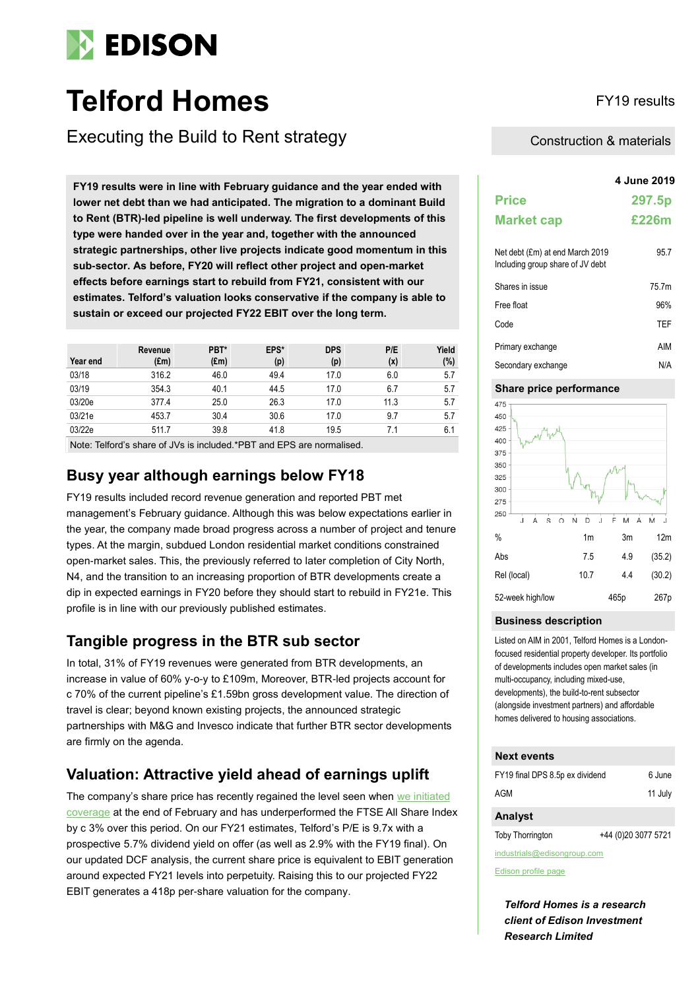

# **Telford Homes** FY19 results

Executing the Build to Rent strategy

**4 June 2019 FY19 results were in line with February guidance and the year ended with lower net debt than we had anticipated. The migration to a dominant Build to Rent (BTR)-led pipeline is well underway. The first developments of this type were handed over in the year and, together with the announced strategic partnerships, other live projects indicate good momentum in this sub-sector. As before, FY20 will reflect other project and open-market effects before earnings start to rebuild from FY21, consistent with our estimates. Telford's valuation looks conservative if the company is able to sustain or exceed our projected FY22 EBIT over the long term.**

| Year end | Revenue<br>$(\text{Em})$ | PBT*<br>$(\text{Em})$ | EPS*<br>(p) | <b>DPS</b><br>(p) | P/E<br>(x) | Yield<br>(%) |
|----------|--------------------------|-----------------------|-------------|-------------------|------------|--------------|
| 03/18    | 316.2                    | 46.0                  | 49.4        | 17.0              | 6.0        | 5.7          |
| 03/19    | 354.3                    | 40.1                  | 44.5        | 17.0              | 6.7        | 5.7          |
| 03/20e   | 377.4                    | 25.0                  | 26.3        | 17.0              | 11.3       | 5.7          |
| 03/21e   | 453.7                    | 30.4                  | 30.6        | 17.0              | 9.7        | 5.7          |
| 03/22e   | 511.7                    | 39.8                  | 41.8        | 19.5              | 7.1        | 6.1          |

Note: Telford's share of JVs is included.\*PBT and EPS are normalised.

# **Busy year although earnings below FY18**

FY19 results included record revenue generation and reported PBT met management's February guidance. Although this was below expectations earlier in the year, the company made broad progress across a number of project and tenure types. At the margin, subdued London residential market conditions constrained open-market sales. This, the previously referred to later completion of City North, N4, and the transition to an increasing proportion of BTR developments create a dip in expected earnings in FY20 before they should start to rebuild in FY21e. This profile is in line with our previously published estimates.

# **Tangible progress in the BTR sub sector**

In total, 31% of FY19 revenues were generated from BTR developments, an increase in value of 60% y-o-y to £109m, Moreover, BTR-led projects account for c 70% of the current pipeline's £1.59bn gross development value. The direction of travel is clear; beyond known existing projects, the announced strategic partnerships with M&G and Invesco indicate that further BTR sector developments are firmly on the agenda.

# **Valuation: Attractive yield ahead of earnings uplift**

The company's share price has recently regained the level seen when we initiated [coverage](https://www.edisongroup.com/publication/greater-focus-on-a-long-term-growth-market/23772/) at the end of February and has underperformed the FTSE All Share Index by c 3% over this period. On our FY21 estimates, Telford's P/E is 9.7x with a prospective 5.7% dividend yield on offer (as well as 2.9% with the FY19 final). On our updated DCF analysis, the current share price is equivalent to EBIT generation around expected FY21 levels into perpetuity. Raising this to our projected FY22 EBIT generates a 418p per-share valuation for the company.

### Construction & materials

|                                                                     | 4 June 2019 |
|---------------------------------------------------------------------|-------------|
| <b>Price</b>                                                        | 297.5p      |
| <b>Market cap</b>                                                   | £226m       |
| Net debt (£m) at end March 2019<br>Including group share of JV debt | 95.7        |
| Shares in issue                                                     | 757m        |
| Free float                                                          | 96%         |
| Code                                                                | TFF         |
| Primary exchange                                                    | AIM         |
| Secondary exchange                                                  | N/A         |

#### **Share price performance**



#### **Business description**

Listed on AIM in 2001, Telford Homes is a Londonfocused residential property developer. Its portfolio of developments includes open market sales (in multi-occupancy, including mixed-use, developments), the build-to-rent subsector (alongside investment partners) and affordable homes delivered to housing associations.

### **Next events**

| FY19 final DPS 8.5p ex dividend | 6 June  |
|---------------------------------|---------|
| AGM                             | 11 July |

### **Analyst**

Toby Thorrington +44 (0)20 3077 5721

industrials@edisongroup.com

[Edison profile page](http://www.edisoninvestmentresearch.co.uk/research/company/telford-homes)

*Telford Homes is a research client of Edison Investment Research Limited*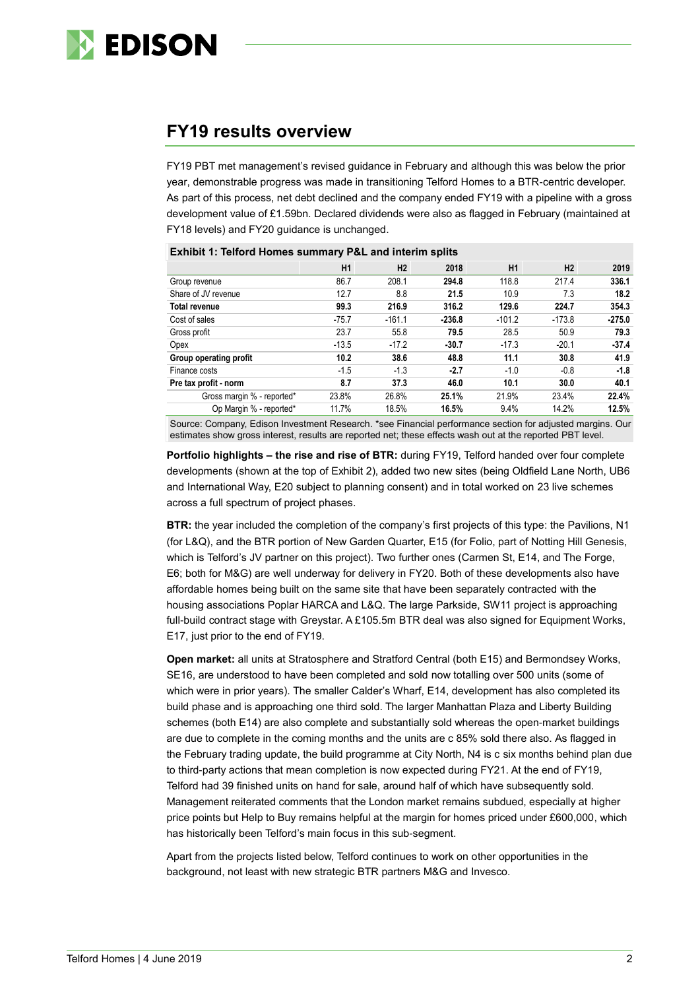

# **FY19 results overview**

FY19 PBT met management's revised guidance in February and although this was below the prior year, demonstrable progress was made in transitioning Telford Homes to a BTR-centric developer. As part of this process, net debt declined and the company ended FY19 with a pipeline with a gross development value of £1.59bn. Declared dividends were also as flagged in February (maintained at FY18 levels) and FY20 guidance is unchanged.

| <b>EXHIBIT 1: TEITORD HOMES SUMMARY P&amp;L AND INTERIM SPITES</b> |         |          |          |                |          |          |  |  |  |  |
|--------------------------------------------------------------------|---------|----------|----------|----------------|----------|----------|--|--|--|--|
|                                                                    | H1      | H2       | 2018     | H <sub>1</sub> | H2       | 2019     |  |  |  |  |
| Group revenue                                                      | 86.7    | 208.1    | 294.8    | 118.8          | 217.4    | 336.1    |  |  |  |  |
| Share of JV revenue                                                | 12.7    | 8.8      | 21.5     | 10.9           | 7.3      | 18.2     |  |  |  |  |
| <b>Total revenue</b>                                               | 99.3    | 216.9    | 316.2    | 129.6          | 224.7    | 354.3    |  |  |  |  |
| Cost of sales                                                      | $-75.7$ | $-161.1$ | $-236.8$ | $-101.2$       | $-173.8$ | $-275.0$ |  |  |  |  |
| Gross profit                                                       | 23.7    | 55.8     | 79.5     | 28.5           | 50.9     | 79.3     |  |  |  |  |
| Opex                                                               | $-13.5$ | $-17.2$  | $-30.7$  | $-17.3$        | $-20.1$  | $-37.4$  |  |  |  |  |
| Group operating profit                                             | 10.2    | 38.6     | 48.8     | 11.1           | 30.8     | 41.9     |  |  |  |  |
| Finance costs                                                      | $-1.5$  | $-1.3$   | $-2.7$   | $-1.0$         | $-0.8$   | $-1.8$   |  |  |  |  |
| Pre tax profit - norm                                              | 8.7     | 37.3     | 46.0     | 10.1           | 30.0     | 40.1     |  |  |  |  |
| Gross margin % - reported*                                         | 23.8%   | 26.8%    | 25.1%    | 21.9%          | 23.4%    | 22.4%    |  |  |  |  |
| Op Margin % - reported*                                            | 11.7%   | 18.5%    | 16.5%    | 9.4%           | 14.2%    | 12.5%    |  |  |  |  |

**Exhibit 1: Telford Homes summary P&L and interim splits**

Source: Company, Edison Investment Research. \*see Financial performance section for adjusted margins. Our estimates show gross interest, results are reported net; these effects wash out at the reported PBT level.

**Portfolio highlights – the rise and rise of BTR:** during FY19, Telford handed over four complete developments (shown at the top of Exhibit 2), added two new sites (being Oldfield Lane North, UB6 and International Way, E20 subject to planning consent) and in total worked on 23 live schemes across a full spectrum of project phases.

**BTR:** the year included the completion of the company's first projects of this type: the Pavilions, N1 (for L&Q), and the BTR portion of New Garden Quarter, E15 (for Folio, part of Notting Hill Genesis, which is Telford's JV partner on this project). Two further ones (Carmen St, E14, and The Forge, E6; both for M&G) are well underway for delivery in FY20. Both of these developments also have affordable homes being built on the same site that have been separately contracted with the housing associations Poplar HARCA and L&Q. The large Parkside, SW11 project is approaching full-build contract stage with Greystar. A £105.5m BTR deal was also signed for Equipment Works, E17, just prior to the end of FY19.

**Open market:** all units at Stratosphere and Stratford Central (both E15) and Bermondsey Works, SE16, are understood to have been completed and sold now totalling over 500 units (some of which were in prior years). The smaller Calder's Wharf, E14, development has also completed its build phase and is approaching one third sold. The larger Manhattan Plaza and Liberty Building schemes (both E14) are also complete and substantially sold whereas the open-market buildings are due to complete in the coming months and the units are c 85% sold there also. As flagged in the February trading update, the build programme at City North, N4 is c six months behind plan due to third-party actions that mean completion is now expected during FY21. At the end of FY19, Telford had 39 finished units on hand for sale, around half of which have subsequently sold. Management reiterated comments that the London market remains subdued, especially at higher price points but Help to Buy remains helpful at the margin for homes priced under £600,000, which has historically been Telford's main focus in this sub-segment.

Apart from the projects listed below, Telford continues to work on other opportunities in the background, not least with new strategic BTR partners M&G and Invesco.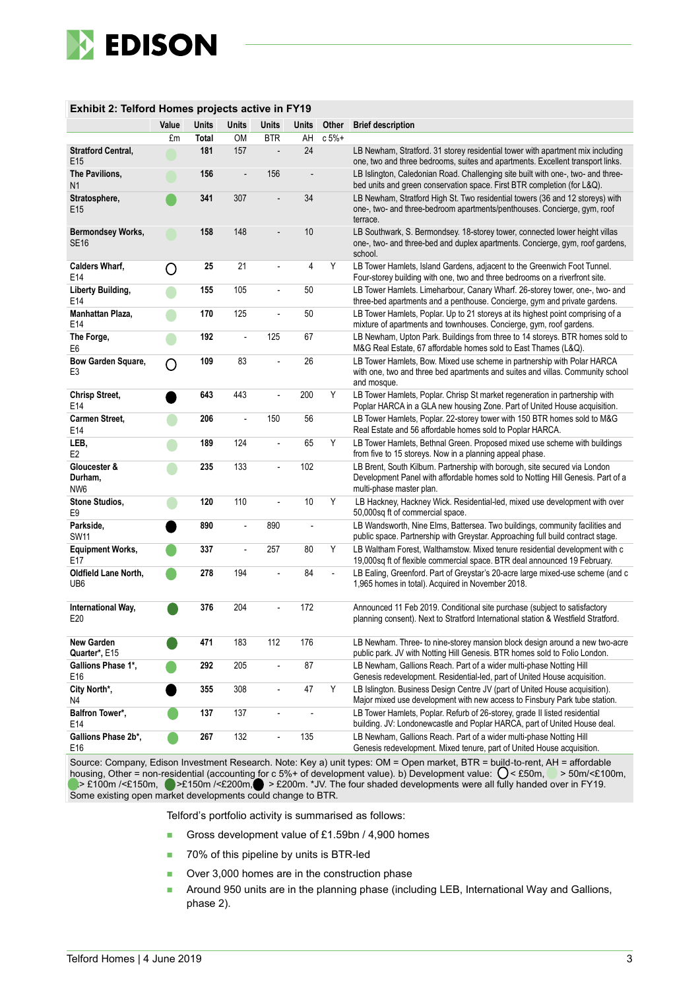

| Exhibit 2: Telford Homes projects active in FY19 |       |              |                |                          |       |          |                                                                                                                                                                                           |  |  |
|--------------------------------------------------|-------|--------------|----------------|--------------------------|-------|----------|-------------------------------------------------------------------------------------------------------------------------------------------------------------------------------------------|--|--|
|                                                  | Value | Units        | Units          | Units                    | Units | Other    | <b>Brief description</b>                                                                                                                                                                  |  |  |
|                                                  | £m    | <b>Total</b> | <b>OM</b>      | <b>BTR</b>               | AH    | $c 5% +$ |                                                                                                                                                                                           |  |  |
| <b>Stratford Central,</b><br>E15                 |       | 181          | 157            |                          | 24    |          | LB Newham, Stratford. 31 storey residential tower with apartment mix including<br>one, two and three bedrooms, suites and apartments. Excellent transport links.                          |  |  |
| The Pavilions,<br>N <sub>1</sub>                 |       | 156          |                | 156                      |       |          | LB Islington, Caledonian Road. Challenging site built with one-, two- and three-<br>bed units and green conservation space. First BTR completion (for L&Q).                               |  |  |
| Stratosphere,<br>E <sub>15</sub>                 |       | 341          | 307            |                          | 34    |          | LB Newham, Stratford High St. Two residential towers (36 and 12 storeys) with<br>one-, two- and three-bedroom apartments/penthouses. Concierge, gym, roof<br>terrace.                     |  |  |
| <b>Bermondsey Works,</b><br><b>SE16</b>          |       | 158          | 148            |                          | 10    |          | LB Southwark, S. Bermondsey. 18-storey tower, connected lower height villas<br>one-, two- and three-bed and duplex apartments. Concierge, gym, roof gardens,<br>school.                   |  |  |
| <b>Calders Wharf,</b><br>E14                     | O     | 25           | 21             |                          | 4     | Υ        | LB Tower Hamlets, Island Gardens, adjacent to the Greenwich Foot Tunnel.<br>Four-storey building with one, two and three bedrooms on a riverfront site.                                   |  |  |
| Liberty Building,<br>E14                         |       | 155          | 105            |                          | 50    |          | LB Tower Hamlets. Limeharbour, Canary Wharf. 26-storey tower, one-, two- and<br>three-bed apartments and a penthouse. Concierge, gym and private gardens.                                 |  |  |
| Manhattan Plaza,<br>E14                          |       | 170          | 125            | L.                       | 50    |          | LB Tower Hamlets, Poplar. Up to 21 storeys at its highest point comprising of a<br>mixture of apartments and townhouses. Concierge, gym, roof gardens.                                    |  |  |
| The Forge,<br>E6                                 |       | 192          | ÷,             | 125                      | 67    |          | LB Newham, Upton Park. Buildings from three to 14 storeys. BTR homes sold to<br>M&G Real Estate, 67 affordable homes sold to East Thames (L&Q).                                           |  |  |
| Bow Garden Square,<br>E3                         | ∩     | 109          | 83             |                          | 26    |          | LB Tower Hamlets, Bow. Mixed use scheme in partnership with Polar HARCA<br>with one, two and three bed apartments and suites and villas. Community school<br>and mosque.                  |  |  |
| <b>Chrisp Street,</b><br>E14                     |       | 643          | 443            | $\overline{\phantom{a}}$ | 200   | Y        | LB Tower Hamlets, Poplar. Chrisp St market regeneration in partnership with<br>Poplar HARCA in a GLA new housing Zone. Part of United House acquisition.                                  |  |  |
| <b>Carmen Street.</b><br>E14                     |       | 206          | Ĭ.             | 150                      | 56    |          | LB Tower Hamlets, Poplar. 22-storey tower with 150 BTR homes sold to M&G<br>Real Estate and 56 affordable homes sold to Poplar HARCA.                                                     |  |  |
| LEB,<br>E <sub>2</sub>                           |       | 189          | 124            | $\overline{a}$           | 65    | Y        | LB Tower Hamlets, Bethnal Green. Proposed mixed use scheme with buildings<br>from five to 15 storeys. Now in a planning appeal phase.                                                     |  |  |
| Gloucester &<br>Durham,<br>NW <sub>6</sub>       |       | 235          | 133            |                          | 102   |          | LB Brent, South Kilburn. Partnership with borough, site secured via London<br>Development Panel with affordable homes sold to Notting Hill Genesis. Part of a<br>multi-phase master plan. |  |  |
| <b>Stone Studios,</b><br>E9                      |       | 120          | 110            |                          | 10    | Y        | LB Hackney, Hackney Wick. Residential-led, mixed use development with over<br>50,000sq ft of commercial space.                                                                            |  |  |
| Parkside,<br><b>SW11</b>                         |       | 890          | $\overline{a}$ | 890                      | Ĭ.    |          | LB Wandsworth, Nine Elms, Battersea. Two buildings, community facilities and<br>public space. Partnership with Greystar. Approaching full build contract stage.                           |  |  |
| <b>Equipment Works,</b><br>E17                   |       | 337          | $\frac{1}{2}$  | 257                      | 80    | Y        | LB Waltham Forest, Walthamstow. Mixed tenure residential development with c<br>19,000sq ft of flexible commercial space. BTR deal announced 19 February.                                  |  |  |
| Oldfield Lane North,<br>UB <sub>6</sub>          |       | 278          | 194            |                          | 84    |          | LB Ealing, Greenford. Part of Greystar's 20-acre large mixed-use scheme (and c<br>1,965 homes in total). Acquired in November 2018.                                                       |  |  |
| International Way,<br>E20                        |       | 376          | 204            |                          | 172   |          | Announced 11 Feb 2019. Conditional site purchase (subject to satisfactory<br>planning consent). Next to Stratford International station & Westfield Stratford.                            |  |  |
| New Garden<br>Quarter*, E15                      |       | 471          | 183            | 112                      | 176   |          | LB Newham. Three- to nine-storey mansion block design around a new two-acre<br>public park. JV with Notting Hill Genesis. BTR homes sold to Folio London.                                 |  |  |
| Gallions Phase 1*,<br>E16                        |       | 292          | 205            |                          | 87    |          | LB Newham, Gallions Reach. Part of a wider multi-phase Notting Hill<br>Genesis redevelopment. Residential-led, part of United House acquisition.                                          |  |  |
| City North*,<br>N4                               |       | 355          | 308            | $\overline{\phantom{a}}$ | 47    | Υ        | LB Islington. Business Design Centre JV (part of United House acquisition).<br>Major mixed use development with new access to Finsbury Park tube station.                                 |  |  |
| Balfron Tower*,<br>E14                           |       | 137          | 137            | $\overline{\phantom{a}}$ |       |          | LB Tower Hamlets, Poplar. Refurb of 26-storey, grade II listed residential<br>building. JV: Londonewcastle and Poplar HARCA, part of United House deal.                                   |  |  |
| Gallions Phase 2b*,<br>E16                       |       | 267          | 132            | $\overline{\phantom{a}}$ | 135   |          | LB Newham, Gallions Reach. Part of a wider multi-phase Notting Hill<br>Genesis redevelopment. Mixed tenure, part of United House acquisition.                                             |  |  |

### **Exhibit 2: Telford Homes projects active in FY19**

Source: Company, Edison Investment Research. Note: Key a) unit types: OM = Open market, BTR = build-to-rent, AH = affordable housing, Other = non-residential (accounting for c 5%+ of development value). b) Development value:  $\bigcup$  < £50m,  $\bigcup$  > 50m/<£100m, xx> £100m /<£150m, >£150m /<£200m, > £200m. \*JV. The four shaded developments were all fully handed over in FY19. Some existing open market developments could change to BTR.

Telford's portfolio activity is summarised as follows:

- Gross development value of £1.59bn / 4,900 homes
- 70% of this pipeline by units is BTR-led
- Over 3,000 homes are in the construction phase
- **Around 950 units are in the planning phase (including LEB, International Way and Gallions,** phase 2).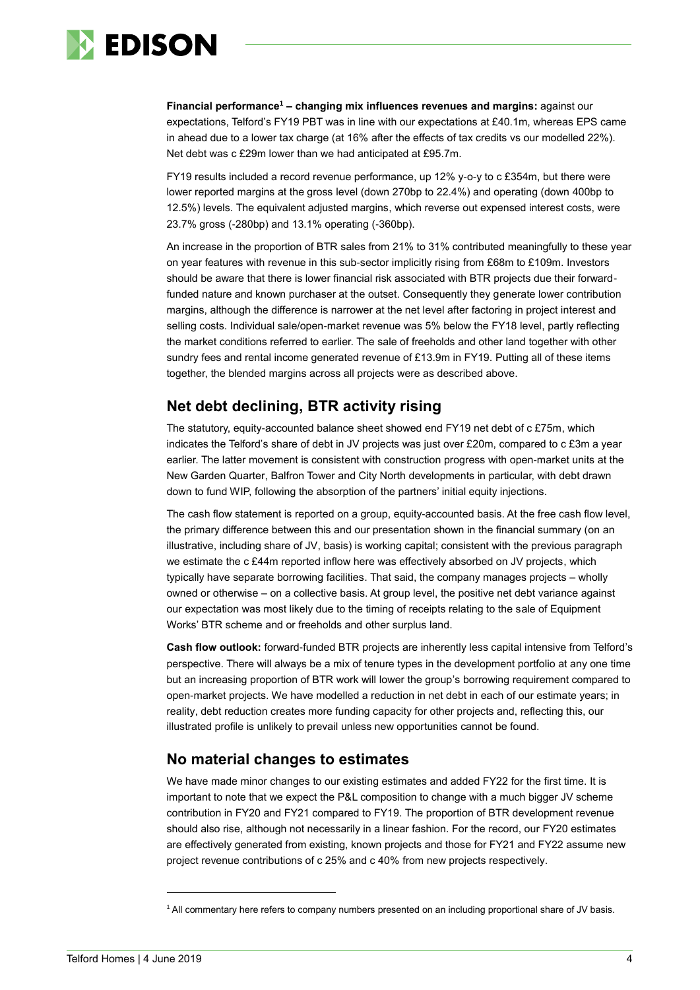

**Financial performance<sup>1</sup> – changing mix influences revenues and margins:** against our expectations, Telford's FY19 PBT was in line with our expectations at £40.1m, whereas EPS came in ahead due to a lower tax charge (at 16% after the effects of tax credits vs our modelled 22%). Net debt was c £29m lower than we had anticipated at £95.7m.

FY19 results included a record revenue performance, up 12% y-o-y to c £354m, but there were lower reported margins at the gross level (down 270bp to 22.4%) and operating (down 400bp to 12.5%) levels. The equivalent adjusted margins, which reverse out expensed interest costs, were 23.7% gross (-280bp) and 13.1% operating (-360bp).

An increase in the proportion of BTR sales from 21% to 31% contributed meaningfully to these year on year features with revenue in this sub-sector implicitly rising from £68m to £109m. Investors should be aware that there is lower financial risk associated with BTR projects due their forwardfunded nature and known purchaser at the outset. Consequently they generate lower contribution margins, although the difference is narrower at the net level after factoring in project interest and selling costs. Individual sale/open-market revenue was 5% below the FY18 level, partly reflecting the market conditions referred to earlier. The sale of freeholds and other land together with other sundry fees and rental income generated revenue of £13.9m in FY19. Putting all of these items together, the blended margins across all projects were as described above.

### **Net debt declining, BTR activity rising**

The statutory, equity-accounted balance sheet showed end FY19 net debt of c £75m, which indicates the Telford's share of debt in JV projects was just over £20m, compared to c £3m a year earlier. The latter movement is consistent with construction progress with open-market units at the New Garden Quarter, Balfron Tower and City North developments in particular, with debt drawn down to fund WIP, following the absorption of the partners' initial equity injections.

The cash flow statement is reported on a group, equity-accounted basis. At the free cash flow level, the primary difference between this and our presentation shown in the financial summary (on an illustrative, including share of JV, basis) is working capital; consistent with the previous paragraph we estimate the c £44m reported inflow here was effectively absorbed on JV projects, which typically have separate borrowing facilities. That said, the company manages projects – wholly owned or otherwise – on a collective basis. At group level, the positive net debt variance against our expectation was most likely due to the timing of receipts relating to the sale of Equipment Works' BTR scheme and or freeholds and other surplus land.

**Cash flow outlook:** forward-funded BTR projects are inherently less capital intensive from Telford's perspective. There will always be a mix of tenure types in the development portfolio at any one time but an increasing proportion of BTR work will lower the group's borrowing requirement compared to open-market projects. We have modelled a reduction in net debt in each of our estimate years; in reality, debt reduction creates more funding capacity for other projects and, reflecting this, our illustrated profile is unlikely to prevail unless new opportunities cannot be found.

### **No material changes to estimates**

We have made minor changes to our existing estimates and added FY22 for the first time. It is important to note that we expect the P&L composition to change with a much bigger JV scheme contribution in FY20 and FY21 compared to FY19. The proportion of BTR development revenue should also rise, although not necessarily in a linear fashion. For the record, our FY20 estimates are effectively generated from existing, known projects and those for FY21 and FY22 assume new project revenue contributions of c 25% and c 40% from new projects respectively.

 $\overline{a}$ 

<sup>1</sup> All commentary here refers to company numbers presented on an including proportional share of JV basis.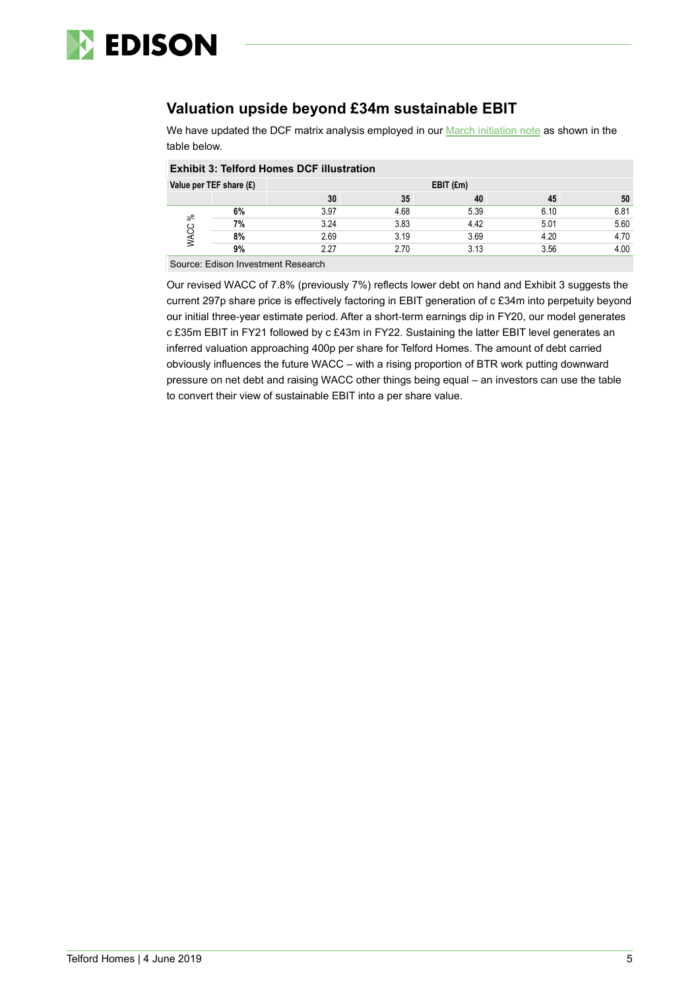

# **Valuation upside beyond £34m sustainable EBIT**

We have updated the DCF matrix analysis employed in our **March initiation note** as shown in the table below.

| <b>Exhibit 3: Telford Homes DCF illustration</b> |    |             |      |      |      |      |  |  |  |  |
|--------------------------------------------------|----|-------------|------|------|------|------|--|--|--|--|
| Value per TEF share (£)                          |    | $EBIT$ (£m) |      |      |      |      |  |  |  |  |
|                                                  |    | 30          | 35   | 40   | 45   | 50   |  |  |  |  |
| వి                                               | 6% | 3.97        | 4.68 | 5.39 | 6.10 | 6.81 |  |  |  |  |
|                                                  | 7% | 3.24        | 3.83 | 4.42 | 5.01 | 5.60 |  |  |  |  |
|                                                  | 8% | 2.69        | 3.19 | 3.69 | 4.20 | 4.70 |  |  |  |  |
|                                                  | 9% | 2.27        | 2.70 | 3.13 | 3.56 | 4.00 |  |  |  |  |
|                                                  |    |             |      |      |      |      |  |  |  |  |

Source: Edison Investment Research

Our revised WACC of 7.8% (previously 7%) reflects lower debt on hand and Exhibit 3 suggests the current 297p share price is effectively factoring in EBIT generation of c £34m into perpetuity beyond our initial three-year estimate period. After a short-term earnings dip in FY20, our model generates c £35m EBIT in FY21 followed by c £43m in FY22. Sustaining the latter EBIT level generates an inferred valuation approaching 400p per share for Telford Homes. The amount of debt carried obviously influences the future WACC – with a rising proportion of BTR work putting downward pressure on net debt and raising WACC other things being equal – an investors can use the table to convert their view of sustainable EBIT into a per share value.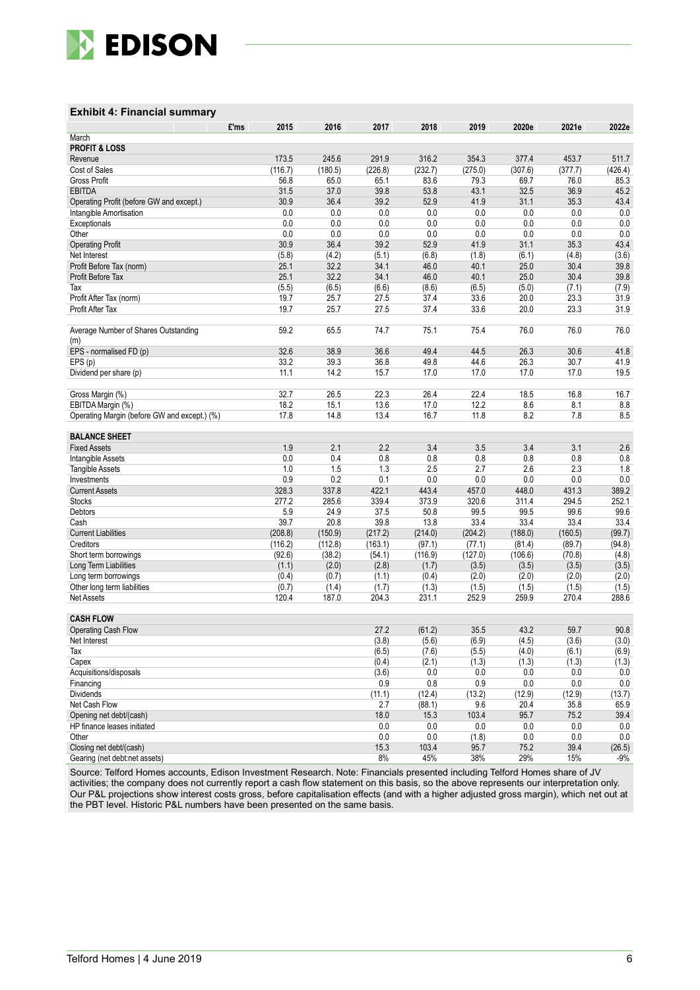

#### **Exhibit 4: Financial summary**

|                                              | £'ms<br>2015 | 2016    | 2017    | 2018    | 2019    | 2020e   | 2021e   | 2022e   |
|----------------------------------------------|--------------|---------|---------|---------|---------|---------|---------|---------|
| March                                        |              |         |         |         |         |         |         |         |
| <b>PROFIT &amp; LOSS</b>                     |              |         |         |         |         |         |         |         |
| Revenue                                      | 173.5        | 245.6   | 291.9   | 316.2   | 354.3   | 377.4   | 453.7   | 511.7   |
| Cost of Sales                                | (116.7)      | (180.5) | (226.8) | (232.7) | (275.0) | (307.6) | (377.7) | (426.4) |
| Gross Profit                                 | 56.8         | 65.0    | 65.1    | 83.6    | 79.3    | 69.7    | 76.0    | 85.3    |
| <b>EBITDA</b>                                | 31.5         | 37.0    | 39.8    | 53.8    | 43.1    | 32.5    | 36.9    | 45.2    |
| Operating Profit (before GW and except.)     | 30.9         | 36.4    | 39.2    | 52.9    | 41.9    | 31.1    | 35.3    | 43.4    |
|                                              | 0.0          | 0.0     | 0.0     | 0.0     | 0.0     | 0.0     | 0.0     | 0.0     |
| Intangible Amortisation                      | 0.0          | 0.0     | 0.0     | 0.0     | 0.0     | 0.0     | 0.0     | 0.0     |
| Exceptionals                                 | 0.0          | 0.0     | 0.0     | 0.0     |         | 0.0     | 0.0     | 0.0     |
| Other                                        |              |         | 39.2    |         | 0.0     |         |         |         |
| <b>Operating Profit</b>                      | 30.9         | 36.4    |         | 52.9    | 41.9    | 31.1    | 35.3    | 43.4    |
| Net Interest                                 | (5.8)        | (4.2)   | (5.1)   | (6.8)   | (1.8)   | (6.1)   | (4.8)   | (3.6)   |
| Profit Before Tax (norm)                     | 25.1         | 32.2    | 34.1    | 46.0    | 40.1    | 25.0    | 30.4    | 39.8    |
| Profit Before Tax                            | 25.1         | 32.2    | 34.1    | 46.0    | 40.1    | 25.0    | 30.4    | 39.8    |
| Tax                                          | (5.5)        | (6.5)   | (6.6)   | (8.6)   | (6.5)   | (5.0)   | (7.1)   | (7.9)   |
| Profit After Tax (norm)                      | 19.7         | 25.7    | 27.5    | 37.4    | 33.6    | 20.0    | 23.3    | 31.9    |
| Profit After Tax                             | 19.7         | 25.7    | 27.5    | 37.4    | 33.6    | 20.0    | 23.3    | 31.9    |
|                                              |              |         |         |         |         |         |         |         |
| Average Number of Shares Outstanding         | 59.2         | 65.5    | 74.7    | 75.1    | 75.4    | 76.0    | 76.0    | 76.0    |
| (m)                                          |              |         |         |         |         |         |         |         |
| EPS - normalised FD (p)                      | 32.6         | 38.9    | 36.6    | 49.4    | 44.5    | 26.3    | 30.6    | 41.8    |
| EPS(p)                                       | 33.2         | 39.3    | 36.8    | 49.8    | 44.6    | 26.3    | 30.7    | 41.9    |
| Dividend per share (p)                       | 11.1         | 14.2    | 15.7    | 17.0    | 17.0    | 17.0    | 17.0    | 19.5    |
|                                              |              |         |         |         |         |         |         |         |
| Gross Margin (%)                             | 32.7         | 26.5    | 22.3    | 26.4    | 22.4    | 18.5    | 16.8    | 16.7    |
| EBITDA Margin (%)                            | 18.2         | 15.1    | 13.6    | 17.0    | 12.2    | 8.6     | 8.1     | 8.8     |
| Operating Margin (before GW and except.) (%) | 17.8         | 14.8    | 13.4    | 16.7    | 11.8    | 8.2     | 7.8     | 8.5     |
|                                              |              |         |         |         |         |         |         |         |
| <b>BALANCE SHEET</b>                         |              |         |         |         |         |         |         |         |
| <b>Fixed Assets</b>                          | 1.9          | 2.1     | 2.2     | 3.4     | 3.5     | 3.4     | 3.1     | 2.6     |
| Intangible Assets                            | 0.0          | 0.4     | 0.8     | 0.8     | 0.8     | 0.8     | 0.8     | 0.8     |
| <b>Tangible Assets</b>                       | 1.0          | 1.5     | 1.3     | 2.5     | 2.7     | 2.6     | 2.3     | 1.8     |
| Investments                                  | 0.9          | 0.2     | 0.1     | 0.0     | 0.0     | 0.0     | 0.0     | 0.0     |
| <b>Current Assets</b>                        | 328.3        | 337.8   | 422.1   | 443.4   | 457.0   | 448.0   | 431.3   | 389.2   |
| <b>Stocks</b>                                | 277.2        | 285.6   | 339.4   | 373.9   | 320.6   | 311.4   | 294.5   | 252.1   |
| Debtors                                      | 5.9          | 24.9    | 37.5    | 50.8    | 99.5    | 99.5    | 99.6    | 99.6    |
| Cash                                         | 39.7         | 20.8    | 39.8    | 13.8    | 33.4    | 33.4    | 33.4    | 33.4    |
| <b>Current Liabilities</b>                   | (208.8)      | (150.9) | (217.2) | (214.0) | (204.2) | (188.0) | (160.5) | (99.7)  |
| Creditors                                    | (116.2)      | (112.8) | (163.1) | (97.1)  | (77.1)  | (81.4)  | (89.7)  | (94.8)  |
| Short term borrowings                        | (92.6)       | (38.2)  | (54.1)  | (116.9) | (127.0) | (106.6) | (70.8)  | (4.8)   |
| Long Term Liabilities                        | (1.1)        | (2.0)   | (2.8)   | (1.7)   | (3.5)   | (3.5)   | (3.5)   | (3.5)   |
| Long term borrowings                         | (0.4)        | (0.7)   | (1.1)   | (0.4)   | (2.0)   | (2.0)   | (2.0)   | (2.0)   |
| Other long term liabilities                  | (0.7)        | (1.4)   | (1.7)   | (1.3)   | (1.5)   | (1.5)   | (1.5)   | (1.5)   |
| <b>Net Assets</b>                            | 120.4        | 187.0   | 204.3   | 231.1   | 252.9   | 259.9   | 270.4   | 288.6   |
|                                              |              |         |         |         |         |         |         |         |
| <b>CASH FLOW</b>                             |              |         |         |         |         |         |         |         |
| <b>Operating Cash Flow</b>                   |              |         | 27.2    | (61.2)  | 35.5    | 43.2    | 59.7    | 90.8    |
| Net Interest                                 |              |         | (3.8)   | (5.6)   | (6.9)   | (4.5)   | (3.6)   | (3.0)   |
| Tax                                          |              |         | (6.5)   | (7.6)   | (5.5)   | (4.0)   | (6.1)   | (6.9)   |
| Capex                                        |              |         | (0.4)   | (2.1)   | (1.3)   | (1.3)   | (1.3)   | (1.3)   |
| Acquisitions/disposals                       |              |         | (3.6)   | 0.0     | 0.0     | 0.0     | 0.0     | 0.0     |
| Financing                                    |              |         | 0.9     | 0.8     | 0.9     | 0.0     | 0.0     | 0.0     |
| <b>Dividends</b>                             |              |         | (11.1)  | (12.4)  | (13.2)  | (12.9)  | (12.9)  | (13.7)  |
| Net Cash Flow                                |              |         | 2.7     | (88.1)  | 9.6     | 20.4    | 35.8    | 65.9    |
| Opening net debt/(cash)                      |              |         | 18.0    | 15.3    | 103.4   | 95.7    | 75.2    | 39.4    |
| HP finance leases initiated                  |              |         | 0.0     | 0.0     | 0.0     | 0.0     | 0.0     | 0.0     |
| Other                                        |              |         | 0.0     | 0.0     | (1.8)   | 0.0     | 0.0     | 0.0     |
| Closing net debt/(cash)                      |              |         | 15.3    | 103.4   | 95.7    | 75.2    | 39.4    | (26.5)  |
| Gearing (net debt:net assets)                |              |         | 8%      | 45%     | 38%     | 29%     | 15%     | $-9%$   |
|                                              |              |         |         |         |         |         |         |         |

Source: Telford Homes accounts, Edison Investment Research. Note: Financials presented including Telford Homes share of JV activities; the company does not currently report a cash flow statement on this basis, so the above represents our interpretation only. Our P&L projections show interest costs gross, before capitalisation effects (and with a higher adjusted gross margin), which net out at the PBT level. Historic P&L numbers have been presented on the same basis.